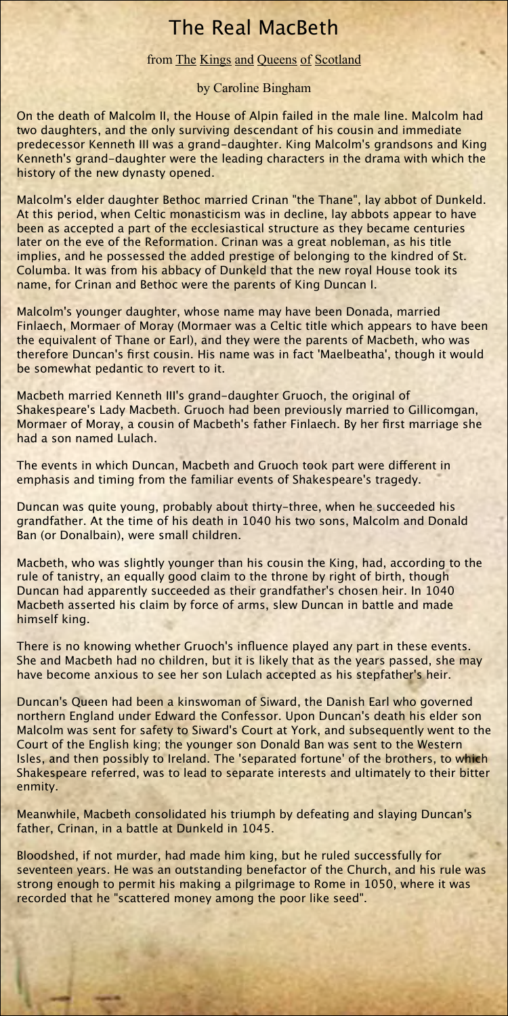## The Real MacBeth

## from The Kings and Queens of Scotland

by Caroline Bingham

On the death of Malcolm II, the House of Alpin failed in the male line. Malcolm had two daughters, and the only surviving descendant of his cousin and immediate predecessor Kenneth III was a grand-daughter. King Malcolm's grandsons and King Kenneth's grand-daughter were the leading characters in the drama with which the history of the new dynasty opened.

Malcolm's elder daughter Bethoc married Crinan "the Thane", lay abbot of Dunkeld. At this period, when Celtic monasticism was in decline, lay abbots appear to have been as accepted a part of the ecclesiastical structure as they became centuries later on the eve of the Reformation. Crinan was a great nobleman, as his title implies, and he possessed the added prestige of belonging to the kindred of St. Columba. It was from his abbacy of Dunkeld that the new royal House took its name, for Crinan and Bethoc were the parents of King Duncan I.

Malcolm's younger daughter, whose name may have been Donada, married Finlaech, Mormaer of Moray (Mormaer was a Celtic title which appears to have been the equivalent of Thane or Earl), and they were the parents of Macbeth, who was therefore Duncan's first cousin. His name was in fact 'Maelbeatha', though it would be somewhat pedantic to revert to it.

Macbeth married Kenneth III's grand-daughter Gruoch, the original of Shakespeare's Lady Macbeth. Gruoch had been previously married to Gillicomgan, Mormaer of Moray, a cousin of Macbeth's father Finlaech. By her first marriage she had a son named Lulach.

The events in which Duncan, Macbeth and Gruoch took part were different in emphasis and timing from the familiar events of Shakespeare's tragedy.

Duncan was quite young, probably about thirty-three, when he succeeded his grandfather. At the time of his death in 1040 his two sons, Malcolm and Donald Ban (or Donalbain), were small children.

Macbeth, who was slightly younger than his cousin the King, had, according to the rule of tanistry, an equally good claim to the throne by right of birth, though Duncan had apparently succeeded as their grandfather's chosen heir. In 1040 Macbeth asserted his claim by force of arms, slew Duncan in battle and made himself king.

There is no knowing whether Gruoch's influence played any part in these events. She and Macbeth had no children, but it is likely that as the years passed, she may have become anxious to see her son Lulach accepted as his stepfather's heir.

Duncan's Queen had been a kinswoman of Siward, the Danish Earl who governed northern England under Edward the Confessor. Upon Duncan's death his elder son Malcolm was sent for safety to Siward's Court at York, and subsequently went to the Court of the English king; the younger son Donald Ban was sent to the Western Isles, and then possibly to Ireland. The 'separated fortune' of the brothers, to which Shakespeare referred, was to lead to separate interests and ultimately to their bitter enmity.

Meanwhile, Macbeth consolidated his triumph by defeating and slaying Duncan's father, Crinan, in a battle at Dunkeld in 1045.

Bloodshed, if not murder, had made him king, but he ruled successfully for seventeen years. He was an outstanding benefactor of the Church, and his rule was strong enough to permit his making a pilgrimage to Rome in 1050, where it was recorded that he "scattered money among the poor like seed".